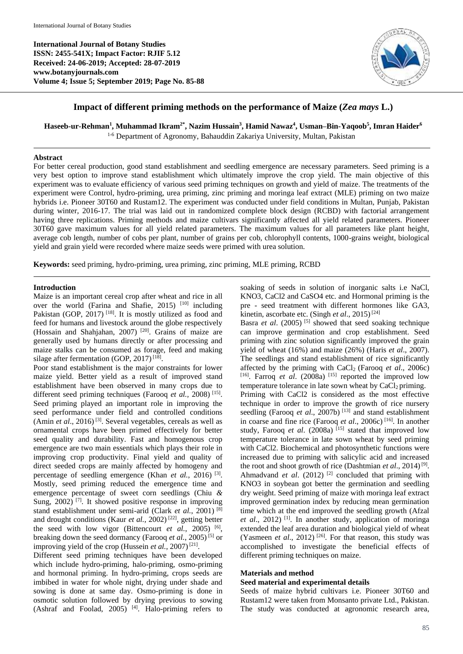**International Journal of Botany Studies ISSN: 2455-541X; Impact Factor: RJIF 5.12 Received: 24-06-2019; Accepted: 28-07-2019 www.botanyjournals.com Volume 4; Issue 5; September 2019; Page No. 85-88**



# **Impact of different priming methods on the performance of Maize (***Zea mays* **L.)**

**Haseeb-ur-Rehman<sup>1</sup> , Muhammad Ikram2\*, Nazim Hussain<sup>3</sup> , Hamid Nawaz<sup>4</sup> , Usman–Bin-Yaqoob<sup>5</sup> , Imran Haider<sup>6</sup>** 1-6 Department of Agronomy, Bahauddin Zakariya University, Multan, Pakistan

#### **Abstract**

For better cereal production, good stand establishment and seedling emergence are necessary parameters. Seed priming is a very best option to improve stand establishment which ultimately improve the crop yield. The main objective of this experiment was to evaluate efficiency of various seed priming techniques on growth and yield of maize. The treatments of the experiment were Control, hydro-priming, urea priming, zinc priming and moringa leaf extract (MLE) priming on two maize hybrids i.e. Pioneer 30T60 and Rustam12. The experiment was conducted under field conditions in Multan, Punjab, Pakistan during winter, 2016-17. The trial was laid out in randomized complete block design (RCBD) with factorial arrangement having three replications. Priming methods and maize cultivars significantly affected all yield related parameters. Pioneer 30T60 gave maximum values for all yield related parameters. The maximum values for all parameters like plant height, average cob length, number of cobs per plant, number of grains per cob, chlorophyll contents, 1000-grains weight, biological yield and grain yield were recorded where maize seeds were primed with urea solution.

**Keywords:** seed priming, hydro-priming, urea priming, zinc priming, MLE priming, RCBD

#### **Introduction**

Maize is an important cereal crop after wheat and rice in all over the world (Farina and Shafie, 2015)  $[10]$  including Pakistan (GOP, 2017)<sup>[18]</sup>. It is mostly utilized as food and feed for humans and livestock around the globe respectively (Hossain and Shahjahan, 2007) [20]. Grains of maize are generally used by humans directly or after processing and maize stalks can be consumed as forage, feed and making silage after fermentation (GOP, 2017)<sup>[18]</sup>.

Poor stand establishment is the major constraints for lower maize yield. Better yield as a result of improved stand establishment have been observed in many crops due to different seed priming techniques (Farooq et al., 2008)<sup>[15]</sup>. Seed priming played an important role in improving the seed performance under field and controlled conditions (Amin *et al*., 2016) [3]. Several vegetables, cereals as well as ornamental crops have been primed effectively for better seed quality and durability. Fast and homogenous crop emergence are two main essentials which plays their role in improving crop productivity. Final yield and quality of direct seeded crops are mainly affected by homogeny and percentage of seedling emergence (Khan *et al.*, 2016)<sup>[3]</sup>. Mostly, seed priming reduced the emergence time and emergence percentage of sweet corn seedlings (Chiu *&*  Sung,  $2002$ <sup>[7]</sup>. It showed positive response in improving stand establishment under semi-arid (Clark *et al.*, 2001) [8] and drought conditions (Kaur *et al.*, 2002)<sup>[22]</sup>, getting better the seed with low vigor (Bittencourt *et al.*, 2005) <sup>[6]</sup>, breaking down the seed dormancy (Farooq *et al.*, 2005) [5] or improving yield of the crop (Hussein *et al.*, 2007)<sup>[21]</sup>.

Different seed priming techniques have been developed which include hydro-priming, halo-priming, osmo-priming and hormonal priming. In hydro-priming, crops seeds are imbibed in water for whole night, drying under shade and sowing is done at same day. Osmo-priming is done in osmotic solution followed by drying previous to sowing (Ashraf and Foolad, 2005) [4]. Halo-priming refers to soaking of seeds in solution of inorganic salts i.e NaCl, KNO3, CaCl2 and CaSO4 etc. and Hormonal priming is the pre - seed treatment with different hormones like GA3, kinetin, ascorbate etc. (Singh *et al.*, 2015)<sup>[24]</sup>

Basra *et al.* (2005)<sup>[5]</sup> showed that seed soaking technique can improve germination and crop establishment. Seed priming with zinc solution significantly improved the grain yield of wheat (16%) and maize (26%) (Haris *et al*., 2007). The seedlings and stand establishment of rice significantly affected by the priming with CaCl2 (Farooq *et al*., 2006c)  $[16]$ . Farroq *et al.* (2008a)  $[15]$  reported the improved low temperature tolerance in late sown wheat by  $CaCl<sub>2</sub>$  priming. Priming with CaCl2 is considered as the most effective technique in order to improve the growth of rice nursery seedling (Farooq *et al.*, 2007b)<sup>[13]</sup> and stand establishment in coarse and fine rice (Farooq *et al*., 2006c) [16]. In another study, Farooq *et al.* (2008a)  $^{[15]}$  stated that improved low temperature tolerance in late sown wheat by seed priming with CaCl2. Biochemical and photosynthetic functions were increased due to priming with salicylic acid and increased the root and shoot growth of rice (Dashtmian *et al.*, 2014)<sup>[9]</sup>. Ahmadvand *et al.*  $(2012)$ <sup>[2]</sup> concluded that priming with KNO3 in soybean got better the germination and seedling dry weight. Seed priming of maize with moringa leaf extract improved germination index by reducing mean germination time which at the end improved the seedling growth (Afzal *et al*., 2012) [1]. In another study, application of moringa extended the leaf area duration and biological yield of wheat (Yasmeen *et al.*, 2012)<sup>[26]</sup>. For that reason, this study was accomplished to investigate the beneficial effects of different priming techniques on maize.

## **Materials and method**

# **Seed material and experimental details**

Seeds of maize hybrid cultivars i.e. Pioneer 30T60 and Rustam12 were taken from Monsanto private Ltd., Pakistan. The study was conducted at agronomic research area,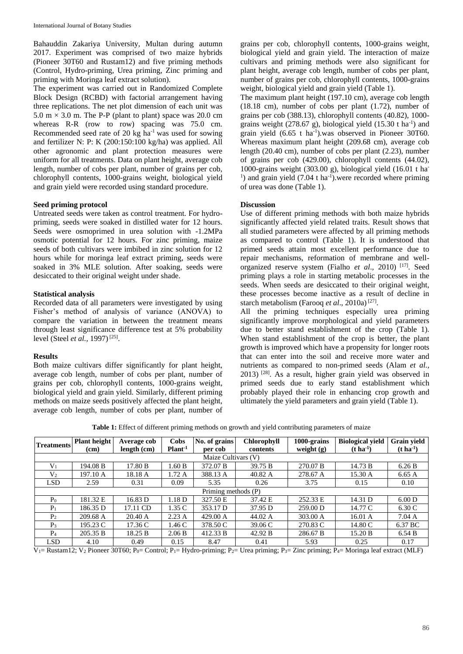Bahauddin Zakariya University, Multan during autumn 2017. Experiment was comprised of two maize hybrids (Pioneer 30T60 and Rustam12) and five priming methods (Control, Hydro-priming, Urea priming, Zinc priming and priming with Moringa leaf extract solution).

The experiment was carried out in Randomized Complete Block Design (RCBD) with factorial arrangement having three replications. The net plot dimension of each unit was 5.0 m  $\times$  3.0 m. The P-P (plant to plant) space was 20.0 cm whereas R-R (row to row) spacing was 75.0 cm. Recommended seed rate of 20 kg  $ha^{-1}$  was used for sowing and fertilizer N: P: K (200:150:100 kg/ha) was applied. All other agronomic and plant protection measures were uniform for all treatments. Data on plant height, average cob length, number of cobs per plant, number of grains per cob, chlorophyll contents, 1000-grains weight, biological yield and grain yield were recorded using standard procedure.

## **Seed priming protocol**

Untreated seeds were taken as control treatment. For hydropriming, seeds were soaked in distilled water for 12 hours. Seeds were osmoprimed in urea solution with -1.2MPa osmotic potential for 12 hours. For zinc priming, maize seeds of both cultivars were imbibed in zinc solution for 12 hours while for moringa leaf extract priming, seeds were soaked in 3% MLE solution. After soaking, seeds were desiccated to their original weight under shade.

## **Statistical analysis**

Recorded data of all parameters were investigated by using Fisher's method of analysis of variance (ANOVA) to compare the variation in between the treatment means through least significance difference test at 5% probability level (Steel *et al.*, 1997)<sup>[25]</sup>.

## **Results**

Both maize cultivars differ significantly for plant height, average cob length, number of cobs per plant, number of grains per cob, chlorophyll contents, 1000-grains weight, biological yield and grain yield. Similarly, different priming methods on maize seeds positively affected the plant height, average cob length, number of cobs per plant, number of

grains per cob, chlorophyll contents, 1000-grains weight, biological yield and grain yield. The interaction of maize cultivars and priming methods were also significant for plant height, average cob length, number of cobs per plant, number of grains per cob, chlorophyll contents, 1000-grains weight, biological yield and grain yield (Table 1).

The maximum plant height (197.10 cm), average cob length (18.18 cm), number of cobs per plant (1.72), number of grains per cob (388.13), chlorophyll contents (40.82), 1000 grains weight  $(278.67 \text{ g})$ , biological yield  $(15.30 \text{ t} \text{ ha}^{-1})$  and grain yield (6.65 t ha<sup>-1</sup>).was observed in Pioneer 30T60. Whereas maximum plant height (209.68 cm), average cob length (20.40 cm), number of cobs per plant (2.23), number of grains per cob (429.00), chlorophyll contents (44.02), 1000-grains weight (303.00 g), biological yield (16.01 t ha- $<sup>1</sup>$ ) and grain yield (7.04 t ha<sup>-1</sup>). were recorded where priming</sup> of urea was done (Table 1).

## **Discussion**

Use of different priming methods with both maize hybrids significantly affected yield related traits. Result shows that all studied parameters were affected by all priming methods as compared to control (Table 1). It is understood that primed seeds attain most excellent performance due to repair mechanisms, reformation of membrane and wellorganized reserve system (Fialho *et al*., 2010) [17]. Seed priming plays a role in starting metabolic processes in the seeds. When seeds are desiccated to their original weight, these processes become inactive as a result of decline in starch metabolism (Farooq et al., 2010a)<sup>[27]</sup>.

All the priming techniques especially urea priming significantly improve morphological and yield parameters due to better stand establishment of the crop (Table 1). When stand establishment of the crop is better, the plant growth is improved which have a propensity for longer roots that can enter into the soil and receive more water and nutrients as compared to non-primed seeds (Alam *et al.,*  2013) [28]. As a result, higher grain yield was observed in primed seeds due to early stand establishment which probably played their role in enhancing crop growth and ultimately the yield parameters and grain yield (Table 1).

**Table 1:** Effect of different priming methods on growth and yield contributing parameters of maize

| <b>Treatments</b>   | Plant height<br>(cm) | Average cob<br>length (cm) | <b>Cobs</b><br>Plant <sup>-1</sup> | No. of grains<br>per cob | Chlorophyll<br>contents | 1000-grains<br>weight $(g)$ | <b>Biological yield</b><br>$(t \, ha^{-1})$ | Grain yield<br>$(t \, ha^{-1})$ |
|---------------------|----------------------|----------------------------|------------------------------------|--------------------------|-------------------------|-----------------------------|---------------------------------------------|---------------------------------|
| Maize Cultivars (V) |                      |                            |                                    |                          |                         |                             |                                             |                                 |
| V <sub>1</sub>      | 194.08 B             | 17.80 B                    | 1.60 B                             | 372.07 B                 | 39.75 B                 | 270.07 B                    | 14.73 B                                     | 6.26 B                          |
| V <sub>2</sub>      | 197.10 A             | 18.18 A                    | 1.72 A                             | 388.13 A                 | 40.82 A                 | 278.67 A                    | 15.30 A                                     | 6.65A                           |
| <b>LSD</b>          | 2.59                 | 0.31                       | 0.09                               | 5.35                     | 0.26                    | 3.75                        | 0.15                                        | 0.10                            |
| Priming methods (P) |                      |                            |                                    |                          |                         |                             |                                             |                                 |
| P <sub>0</sub>      | 181.32 E             | 16.83 D                    | 1.18 D                             | 327.50 E                 | 37.42 E                 | 252.33 E                    | 14.31 D                                     | 6.00 D                          |
| $P_1$               | 186.35 D             | 17.11 CD                   | 1.35C                              | 353.17 D                 | 37.95 D                 | 259.00 D                    | 14.77 C                                     | 6.30C                           |
| P <sub>2</sub>      | 209.68 A             | 20.40 A                    | 2.23A                              | 429.00 A                 | 44.02 A                 | 303.00 A                    | 16.01 A                                     | 7.04 A                          |
| $P_3$               | 195.23 C             | 17.36 C                    | 1.46C                              | 378.50 C                 | 39.06 C                 | 270.83 C                    | 14.80 C                                     | 6.37 BC                         |
| P <sub>4</sub>      | 205.35 B             | 18.25 B                    | 2.06 B                             | 412.33 B                 | 42.92 B                 | 286.67 B                    | 15.20 B                                     | 6.54 B                          |
| LSD.                | 4.10                 | 0.49                       | 0.15                               | 8.47                     | 0.41                    | 5.93                        | 0.25                                        | 0.17                            |

 $V_1$ = Rustam12; V<sub>2</sub> Pioneer 30T60; P<sub>0</sub>= Control; P<sub>1</sub>= Hydro-priming; P<sub>2</sub>= Urea priming; P<sub>3</sub>= Zinc priming; P<sub>4</sub>= Moringa leaf extract (MLF)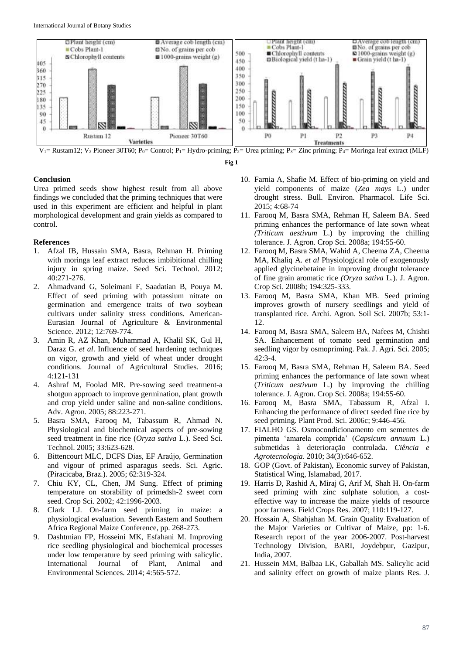



#### **Conclusion**

Urea primed seeds show highest result from all above findings we concluded that the priming techniques that were used in this experiment are efficient and helpful in plant morphological development and grain yields as compared to control.

#### **References**

- 1. Afzal IB, Hussain SMA, Basra, Rehman H. Priming with moringa leaf extract reduces imbibitional chilling injury in spring maize. Seed Sci. Technol. 2012; 40:271-276.
- 2. Ahmadvand G, Soleimani F, Saadatian B, Pouya M. Effect of seed priming with potassium nitrate on germination and emergence traits of two soybean cultivars under salinity stress conditions. American-Eurasian Journal of Agriculture & Environmental Science. 2012; 12:769-774.
- 3. Amin R, AZ Khan, Muhammad A, Khalil SK, Gul H, Daraz G. *et al*. Influence of seed hardening techniques on vigor, growth and yield of wheat under drought conditions. Journal of Agricultural Studies. 2016; 4:121-131
- 4. Ashraf M, Foolad MR. Pre-sowing seed treatment-a shotgun approach to improve germination, plant growth and crop yield under saline and non-saline conditions. Adv. Agron. 2005; 88:223-271.
- 5. Basra SMA, Farooq M, Tabassum R, Ahmad N. Physiological and biochemical aspects of pre-sowing seed treatment in fine rice (*Oryza sativa* L.). Seed Sci. Technol. 2005; 33:623-628.
- 6. Bittencourt MLC, DCFS Dias, EF Araújo, Germination and vigour of primed asparagus seeds. Sci. Agric. (Piracicaba, Braz.). 2005; 62:319-324.
- 7. Chiu KY, CL, Chen, JM Sung. Effect of priming temperature on storability of primedsh-2 sweet corn seed. Crop Sci. 2002; 42:1996-2003.
- 8. Clark LJ. On-farm seed priming in maize: a physiological evaluation. Seventh Eastern and Southern Africa Regional Maize Conference, pp. 268-273.
- 9. Dashtmian FP, Hosseini MK, Esfahani M. Improving rice seedling physiological and biochemical processes under low temperature by seed priming with salicylic. International Journal of Plant, Animal and Environmental Sciences. 2014; 4:565-572.
- 10. Farnia A, Shafie M. Effect of bio-priming on yield and yield components of maize (*Zea mays* L.) under drought stress. Bull. Environ. Pharmacol. Life Sci. 2015; 4:68-74
- 11. Farooq M, Basra SMA, Rehman H, Saleem BA. Seed priming enhances the performance of late sown wheat *(Triticum aestivum* L.) by improving the chilling tolerance. J. Agron. Crop Sci. 2008a; 194:55-60.
- 12. Farooq M, Basra SMA, Wahid A, Cheema ZA, Cheema MA, Khaliq A. *et al* Physiological role of exogenously applied glycinebetaine in improving drought tolerance of fine grain aromatic rice *(Oryza sativa* L.). J. Agron. Crop Sci. 2008b; 194:325-333.
- 13. Farooq M, Basra SMA, Khan MB. Seed priming improves growth of nursery seedlings and yield of transplanted rice. Archi. Agron. Soil Sci. 2007b; 53:1- 12.
- 14. Farooq M, Basra SMA, Saleem BA, Nafees M, Chishti SA. Enhancement of tomato seed germination and seedling vigor by osmopriming. Pak. J. Agri. Sci. 2005; 42:3-4.
- 15. Farooq M, Basra SMA, Rehman H, Saleem BA. Seed priming enhances the performance of late sown wheat (*Triticum aestivum* L.) by improving the chilling tolerance. J. Agron. Crop Sci. 2008a; 194:55-60.
- 16. Farooq M, Basra SMA, Tabassum R, Afzal I. Enhancing the performance of direct seeded fine rice by seed priming. Plant Prod. Sci. 2006c; 9:446-456.
- 17. FIALHO GS. Osmocondicionamento em sementes de pimenta 'amarela comprida' (*Capsicum annuum* L.) submetidas à deterioração controlada. *Ciência e Agrotecnologia*. 2010; 34(3):646-652.
- 18. GOP (Govt. of Pakistan), Economic survey of Pakistan, Statistical Wing, Islamabad, 2017.
- 19. Harris D, Rashid A, Miraj G, Arif M, Shah H. On-farm seed priming with zinc sulphate solution, a costeffective way to increase the maize yields of resource poor farmers. Field Crops Res. 2007; 110:119-127.
- 20. Hossain A, Shahjahan M. Grain Quality Evaluation of the Major Varieties or Cultivar of Maize, pp: 1-6. Research report of the year 2006-2007. Post-harvest Technology Division, BARI, Joydebpur, Gazipur, India, 2007.
- 21. Hussein MM, Balbaa LK, Gaballah MS. Salicylic acid and salinity effect on growth of maize plants Res. J.